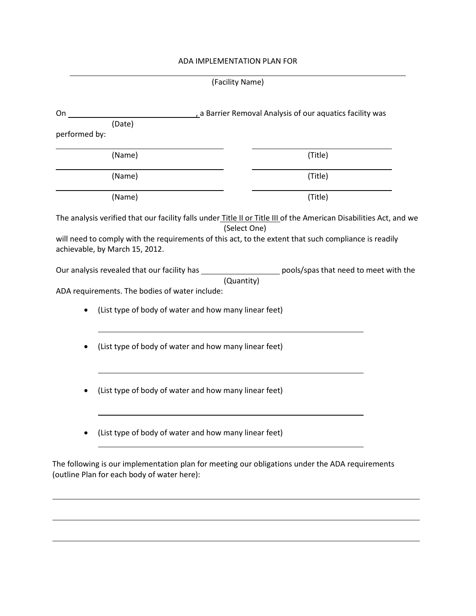## ADA IMPLEMENTATION PLAN FOR

| (Facility Name) |  |
|-----------------|--|
|-----------------|--|

| (Title)<br>(Title)                                                                                                 |
|--------------------------------------------------------------------------------------------------------------------|
|                                                                                                                    |
|                                                                                                                    |
|                                                                                                                    |
|                                                                                                                    |
| (Title)                                                                                                            |
| The analysis verified that our facility falls under Title II or Title III of the American Disabilities Act, and we |
|                                                                                                                    |
| will need to comply with the requirements of this act, to the extent that such compliance is readily               |
|                                                                                                                    |
| Our analysis revealed that our facility has _______________________ pools/spas that need to meet with the          |
|                                                                                                                    |
|                                                                                                                    |
| (List type of body of water and how many linear feet)                                                              |
|                                                                                                                    |
| (List type of body of water and how many linear feet)                                                              |
|                                                                                                                    |
|                                                                                                                    |
|                                                                                                                    |
| (List type of body of water and how many linear feet)                                                              |
|                                                                                                                    |
|                                                                                                                    |
| (List type of body of water and how many linear feet)                                                              |
|                                                                                                                    |

<u> 1989 - Johann Stoff, amerikansk politiker (d. 1989)</u>